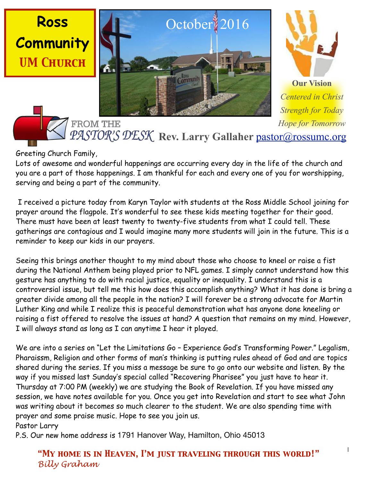





**Our Vision** *Centered in Christ Strength for Today Hope for Tomorrow*

Rev. Larry Gallaher [pastor@rossumc.org](mailto:pastor@rossumc.org)

Greeting Church Family,

**FROM THE** 

Lots of awesome and wonderful happenings are occurring every day in the life of the church and you are a part of those happenings. I am thankful for each and every one of you for worshipping, serving and being a part of the community.

 I received a picture today from Karyn Taylor with students at the Ross Middle School joining for prayer around the flagpole. It's wonderful to see these kids meeting together for their good. There must have been at least twenty to twenty-five students from what I could tell. These gatherings are contagious and I would imagine many more students will join in the future. This is a reminder to keep our kids in our prayers.

Seeing this brings another thought to my mind about those who choose to kneel or raise a fist during the National Anthem being played prior to NFL games. I simply cannot understand how this gesture has anything to do with racial justice, equality or inequality. I understand this is a controversial issue, but tell me this how does this accomplish anything? What it has done is bring a greater divide among all the people in the nation? I will forever be a strong advocate for Martin Luther King and while I realize this is peaceful demonstration what has anyone done kneeling or raising a fist offered to resolve the issues at hand? A question that remains on my mind. However, I will always stand as long as I can anytime I hear it played.

We are into a series on "Let the Limitations Go - Experience God's Transforming Power." Legalism, Pharaissm, Religion and other forms of man's thinking is putting rules ahead of God and are topics shared during the series. If you miss a message be sure to go onto our website and listen. By the way if you missed last Sunday's special called "Recovering Pharisee" you just have to hear it. Thursday at 7:00 PM (weekly) we are studying the Book of Revelation. If you have missed any session, we have notes available for you. Once you get into Revelation and start to see what John was writing about it becomes so much clearer to the student. We are also spending time with prayer and some praise music. Hope to see you join us.

Pastor Larry

P.S. Our new home address is 1791 Hanover Way, Hamilton, Ohio 45013

*"My home is in Heaven, I'm just traveling through this world!" Billy Graham*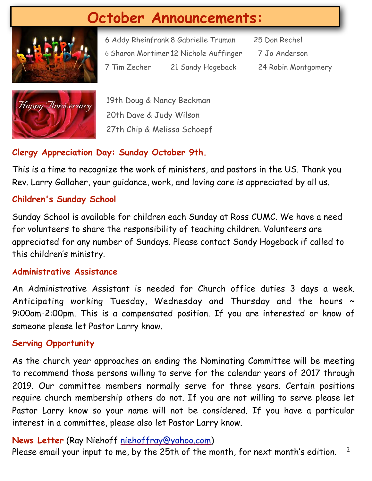# **October Announcements:**



6 Addy Rheinfrank 8 Gabrielle Truman 25 Don Rechel 6 Sharon Mortimer 12 Nichole Auffinger 7 Jo Anderson 7 Tim Zecher 21 Sandy Hogeback 24 Robin Montgomery

- -



19th Doug & Nancy Beckman 20th Dave & Judy Wilson 27th Chip & Melissa Schoepf

# **Clergy Appreciation Day: Sunday October 9th.**

This is a time to recognize the work of ministers, and pastors in the US. Thank you Rev. Larry Gallaher, your guidance, work, and loving care is appreciated by all us.

# **Children's Sunday School**

Sunday School is available for children each Sunday at Ross CUMC. We have a need for volunteers to share the responsibility of teaching children. Volunteers are appreciated for any number of Sundays. Please contact Sandy Hogeback if called to this children's ministry.

#### **Administrative Assistance**

An Administrative Assistant is needed for Church office duties 3 days a week. Anticipating working Tuesday, Wednesday and Thursday and the hours  $\sim$ 9:00am-2:00pm. This is a compensated position. If you are interested or know of someone please let Pastor Larry know.

# **Serving Opportunity**

As the church year approaches an ending the Nominating Committee will be meeting to recommend those persons willing to serve for the calendar years of 2017 through 2019. Our committee members normally serve for three years. Certain positions require church membership others do not. If you are not willing to serve please let Pastor Larry know so your name will not be considered. If you have a particular interest in a committee, please also let Pastor Larry know.

# **News Letter** (Ray Niehoff [niehoffray@yahoo.com\)](mailto:niehoffray@yahoo.com)

2 Please email your input to me, by the 25th of the month, for next month's edition.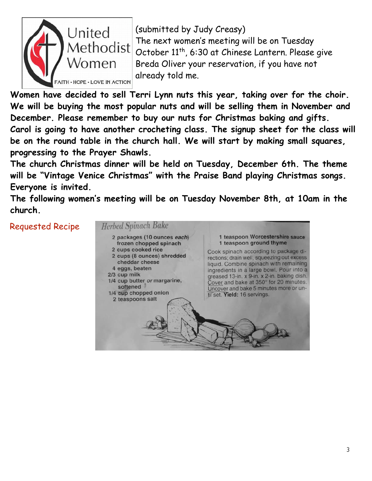

(submitted by Judy Creasy) The next women's meeting will be on Tuesday October 11<sup>th</sup>, 6:30 at Chinese Lantern. Please give Breda Oliver your reservation, if you have not already told me.

**Women have decided to sell Terri Lynn nuts this year, taking over for the choir. We will be buying the most popular nuts and will be selling them in November and December. Please remember to buy our nuts for Christmas baking and gifts. Carol is going to have another crocheting class. The signup sheet for the class will be on the round table in the church hall. We will start by making small squares, progressing to the Prayer Shawls.**

**The church Christmas dinner will be held on Tuesday, December 6th. The theme will be "Vintage Venice Christmas" with the Praise Band playing Christmas songs. Everyone is invited.**

**The following women's meeting will be on Tuesday November 8th, at 10am in the church.**

Requested Recipe

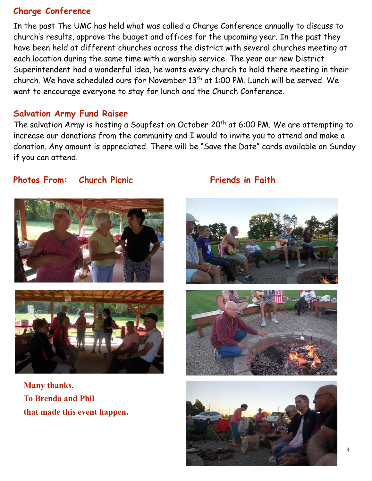#### **Charge Conference**

In the past The UMC has held what was called a Charge Conference annually to discuss to church's results, approve the budget and offices for the upcoming year. In the past they have been held at different churches across the district with several churches meeting at each location during the same time with a worship service. The year our new District Superintendent had a wonderful idea, he wants every church to hold there meeting in their church. We have scheduled ours for November 13th at 1:00 PM. Lunch will be served. We want to encourage everyone to stay for lunch and the Church Conference.

#### **Salvation Army Fund Raiser**

The salvation Army is hosting a Soupfest on October 20<sup>th</sup> at 6:00 PM. We are attempting to increase our donations from the community and I would to invite you to attend and make a donation. Any amount is appreciated. There will be "Save the Date" cards available on Sunday if you can attend.

#### **Photos From:** Church Picnic **Friends in Faith**





**Many thanks, To Brenda and Phil that made this event happen.**